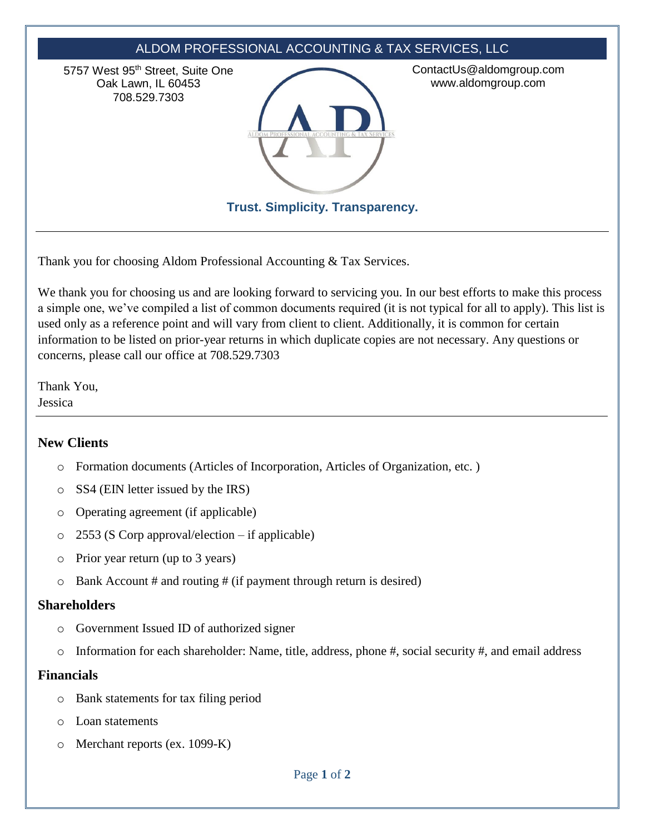

Thank you for choosing Aldom Professional Accounting & Tax Services.

We thank you for choosing us and are looking forward to servicing you. In our best efforts to make this process a simple one, we've compiled a list of common documents required (it is not typical for all to apply). This list is used only as a reference point and will vary from client to client. Additionally, it is common for certain information to be listed on prior-year returns in which duplicate copies are not necessary. Any questions or concerns, please call our office at 708.529.7303

Thank You, Jessica

# **New Clients**

- o Formation documents (Articles of Incorporation, Articles of Organization, etc. )
- o SS4 (EIN letter issued by the IRS)
- o Operating agreement (if applicable)
- $\circ$  2553 (S Corp approval/election if applicable)
- o Prior year return (up to 3 years)
- $\circ$  Bank Account # and routing # (if payment through return is desired)

### **Shareholders**

- o Government Issued ID of authorized signer
- o Information for each shareholder: Name, title, address, phone #, social security #, and email address

# **Financials**

- o Bank statements for tax filing period
- o Loan statements
- o Merchant reports (ex. 1099-K)